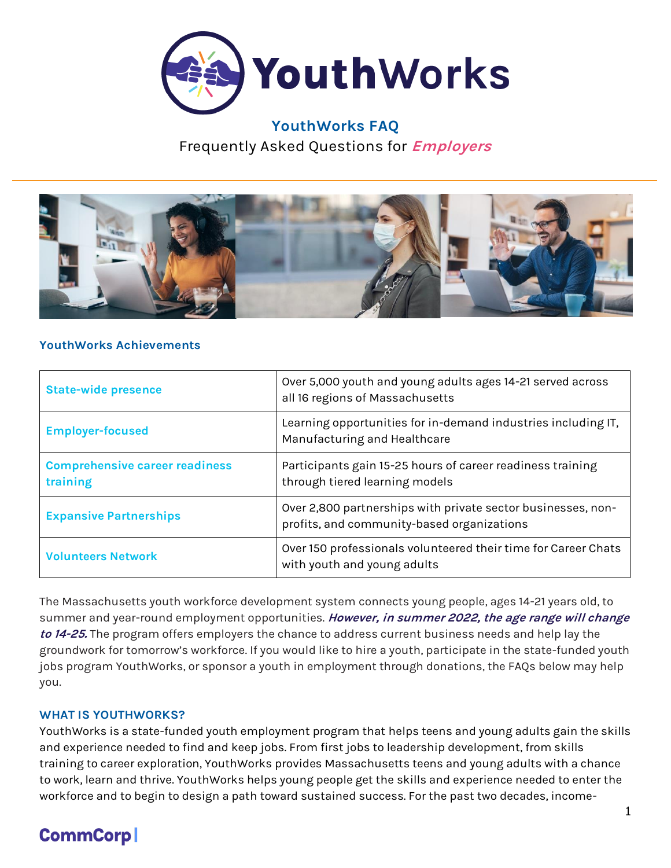

# **YouthWorks FAQ** Frequently Asked Questions for **Employers**



#### **YouthWorks Achievements**

| <b>State-wide presence</b>                        | Over 5,000 youth and young adults ages 14-21 served across<br>all 16 regions of Massachusetts              |
|---------------------------------------------------|------------------------------------------------------------------------------------------------------------|
| <b>Employer-focused</b>                           | Learning opportunities for in-demand industries including IT,<br>Manufacturing and Healthcare              |
| <b>Comprehensive career readiness</b><br>training | Participants gain 15-25 hours of career readiness training<br>through tiered learning models               |
| <b>Expansive Partnerships</b>                     | Over 2,800 partnerships with private sector businesses, non-<br>profits, and community-based organizations |
| <b>Volunteers Network</b>                         | Over 150 professionals volunteered their time for Career Chats<br>with youth and young adults              |

The Massachusetts youth workforce development system connects young people, ages 14-21 years old, to summer and year-round employment opportunities. **However, in summer 2022, the age range will change to 14-25.** The program offers employers the chance to address current business needs and help lay the groundwork for tomorrow's workforce. If you would like to hire a youth, participate in the state-funded youth jobs program YouthWorks, or sponsor a youth in employment through donations, the FAQs below may help you.

#### **WHAT IS YOUTHWORKS?**

YouthWorks is a state-funded youth employment program that helps teens and young adults gain the skills and experience needed to find and keep jobs. From first jobs to leadership development, from skills training to career exploration, YouthWorks provides Massachusetts teens and young adults with a chance to work, learn and thrive. YouthWorks helps young people get the skills and experience needed to enter the workforce and to begin to design a path toward sustained success. For the past two decades, income-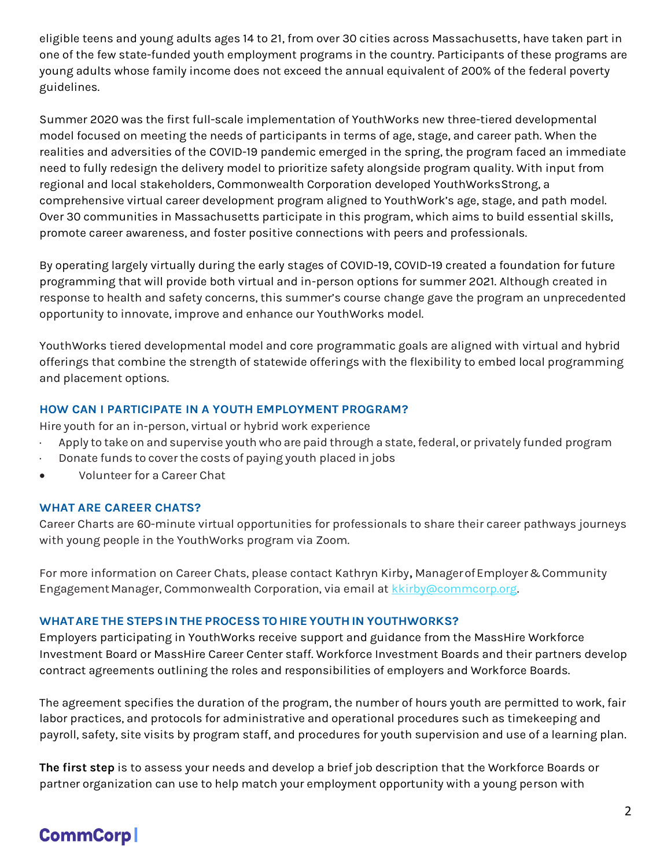eligible teens and young adults ages 14 to 21, from over 30 cities across Massachusetts, have taken part in one of the few state-funded youth employment programs in the country. Participants of these programs are young adults whose family income does not exceed the annual equivalent of 200% of the federal poverty guidelines.

Summer 2020 was the first full-scale implementation of YouthWorks new three-tiered developmental model focused on meeting the needs of participants in terms of age, stage, and career path. When the realities and adversities of the COVID-19 pandemic emerged in the spring, the program faced an immediate need to fully redesign the delivery model to prioritize safety alongside program quality. With input from regional and local stakeholders, Commonwealth Corporation developed YouthWorksStrong, a comprehensive virtual career development program aligned to YouthWork's age, stage, and path model. Over 30 communities in Massachusetts participate in this program, which aims to build essential skills, promote career awareness, and foster positive connections with peers and professionals.

By operating largely virtually during the early stages of COVID-19, COVID-19 created a foundation for future programming that will provide both virtual and in-person options for summer 2021. Although created in response to health and safety concerns, this summer's course change gave the program an unprecedented opportunity to innovate, improve and enhance our YouthWorks model.

YouthWorks tiered developmental model and core programmatic goals are aligned with virtual and hybrid offerings that combine the strength of statewide offerings with the flexibility to embed local programming and placement options.

# **HOW CAN I PARTICIPATE IN A YOUTH EMPLOYMENT PROGRAM?**

Hire youth for an in-person, virtual or hybrid work experience

- Apply to take on and supervise youth who are paid through a state, federal, or privately funded program
- · Donate funds to cover the costs of paying youth placed in jobs
- Volunteer for a Career Chat

#### **WHAT ARE CAREER CHATS?**

Career Charts are 60-minute virtual opportunities for professionals to share their career pathways journeys with young people in the YouthWorks program via Zoom.

For more information on Career Chats, please contact Kathryn Kirby**,** ManagerofEmployer&Community Engagement Manager, Commonwealth Corporation, via email at [kkirby@commcorp.org.](mailto:kkirby@commcorp.org)

# **WHATARE THE STEPSIN THE PROCESS TO HIRE YOUTH IN YOUTHWORKS?**

Employers participating in YouthWorks receive support and guidance from the MassHire Workforce Investment Board or MassHire Career Center staff. Workforce Investment Boards and their partners develop contract agreements outlining the roles and responsibilities of employers and Workforce Boards.

The agreement specifies the duration of the program, the number of hours youth are permitted to work, fair labor practices, and protocols for administrative and operational procedures such as timekeeping and payroll, safety, site visits by program staff, and procedures for youth supervision and use of a learning plan.

**The first step** is to assess your needs and develop a brief job description that the Workforce Boards or partner organization can use to help match your employment opportunity with a young person with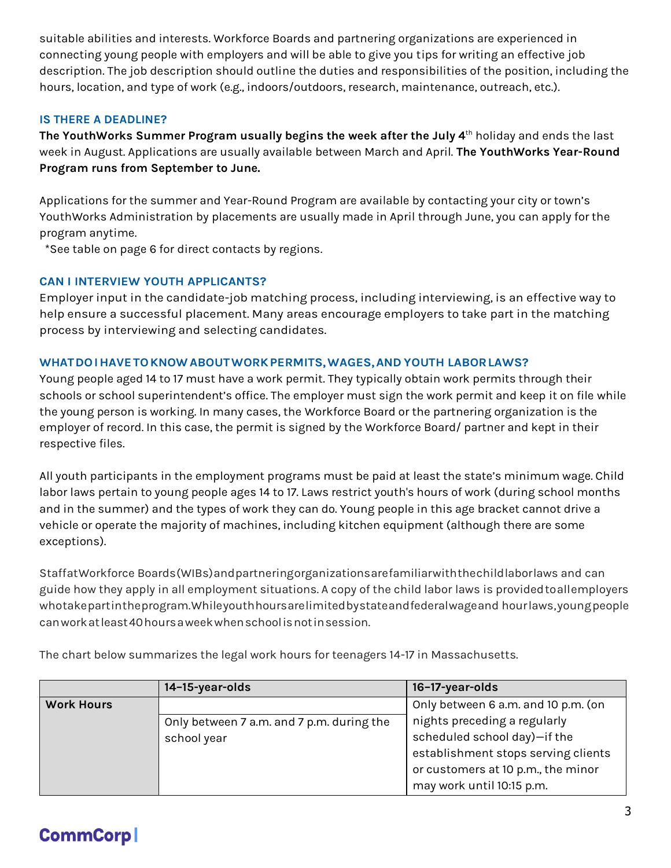suitable abilities and interests. Workforce Boards and partnering organizations are experienced in connecting young people with employers and will be able to give you tips for writing an effective job description. The job description should outline the duties and responsibilities of the position, including the hours, location, and type of work (e.g., indoors/outdoors, research, maintenance, outreach, etc.).

### **IS THERE A DEADLINE?**

**The YouthWorks Summer Program usually begins the week after the July 4**th holiday and ends the last week in August. Applications are usually available between March and April. **The YouthWorks Year-Round Program runs from September to June.**

Applications for the summer and Year-Round Program are available by contacting your city or town's YouthWorks Administration by placements are usually made in April through June, you can apply for the program anytime.

\*See table on page 6 for direct contacts by regions.

## **CAN I INTERVIEW YOUTH APPLICANTS?**

Employer input in the candidate-job matching process, including interviewing, is an effective way to help ensure a successful placement. Many areas encourage employers to take part in the matching process by interviewing and selecting candidates.

# **WHATDOIHAVETOKNOWABOUTWORKPERMITS,WAGES,AND YOUTH LABORLAWS?**

Young people aged 14 to 17 must have a work permit. They typically obtain work permits through their schools or school superintendent's office. The employer must sign the work permit and keep it on file while the young person is working. In many cases, the Workforce Board or the partnering organization is the employer of record. In this case, the permit is signed by the Workforce Board/ partner and kept in their respective files.

All youth participants in the employment programs must be paid at least the state's minimum wage. Child labor laws pertain to young people ages 14 to 17. Laws restrict youth's hours of work (during school months and in the summer) and the types of work they can do. Young people in this age bracket cannot drive a vehicle or operate the majority of machines, including kitchen equipment (although there are some exceptions).

StaffatWorkforce Boards(WIBs)andpartneringorganizationsarefamiliarwiththechildlaborlaws and can guide how they apply in all employment situations. A copy of the child labor laws is providedtoallemployers whotakepartintheprogram.Whileyouthhoursarelimitedbystateandfederalwageand hourlaws,youngpeople canworkatleast40hoursaweekwhenschoolisnotinsession.

|                   | 14-15-year-olds                           | 16-17-year-olds                     |
|-------------------|-------------------------------------------|-------------------------------------|
| <b>Work Hours</b> |                                           | Only between 6 a.m. and 10 p.m. (on |
|                   | Only between 7 a.m. and 7 p.m. during the | nights preceding a regularly        |
|                   | school year                               | scheduled school day)-if the        |
|                   |                                           | establishment stops serving clients |
|                   |                                           | or customers at 10 p.m., the minor  |
|                   |                                           | may work until 10:15 p.m.           |

The chart below summarizes the legal work hours for teenagers 14-17 in Massachusetts.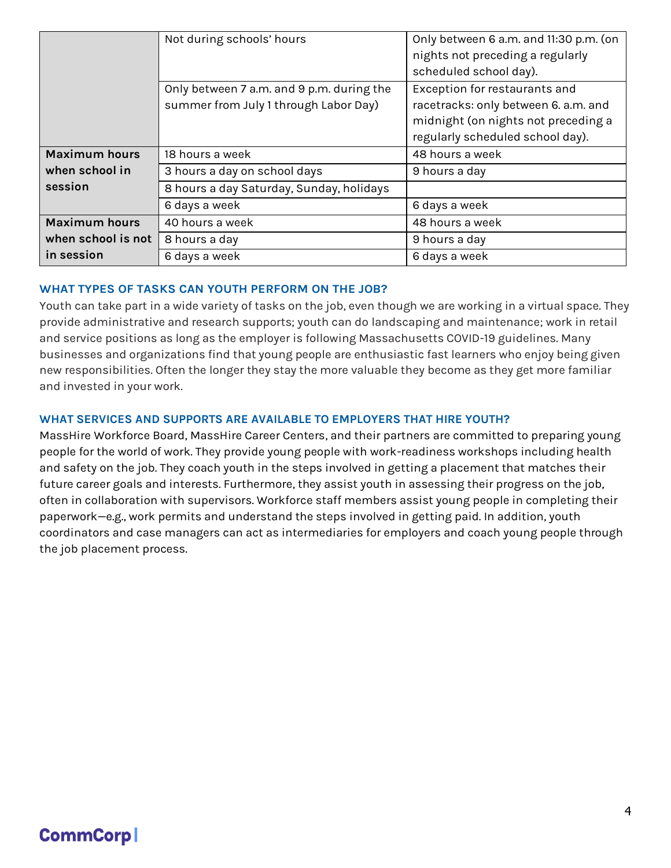|                      | Not during schools' hours                 | Only between 6 a.m. and 11:30 p.m. (on |
|----------------------|-------------------------------------------|----------------------------------------|
|                      |                                           | nights not preceding a regularly       |
|                      |                                           | scheduled school day).                 |
|                      | Only between 7 a.m. and 9 p.m. during the | Exception for restaurants and          |
|                      | summer from July 1 through Labor Day)     | racetracks: only between 6. a.m. and   |
|                      |                                           | midnight (on nights not preceding a    |
|                      |                                           | regularly scheduled school day).       |
| <b>Maximum hours</b> | 18 hours a week                           | 48 hours a week                        |
| when school in       | 3 hours a day on school days              | 9 hours a day                          |
| session              | 8 hours a day Saturday, Sunday, holidays  |                                        |
|                      | 6 days a week                             | 6 days a week                          |
| <b>Maximum hours</b> | 40 hours a week                           | 48 hours a week                        |
| when school is not   | 8 hours a day                             | 9 hours a day                          |
| in session           | 6 days a week                             | 6 days a week                          |

## **WHAT TYPES OF TASKS CAN YOUTH PERFORM ON THE JOB?**

Youth can take part in a wide variety of tasks on the job, even though we are working in a virtual space. They provide administrative and research supports; youth can do landscaping and maintenance; work in retail and service positions as long as the employer is following Massachusetts COVID-19 guidelines. Many businesses and organizations find that young people are enthusiastic fast learners who enjoy being given new responsibilities. Often the longer they stay the more valuable they become as they get more familiar and invested in your work.

## **WHAT SERVICES AND SUPPORTS ARE AVAILABLE TO EMPLOYERS THAT HIRE YOUTH?**

MassHire Workforce Board, MassHire Career Centers, and their partners are committed to preparing young people for the world of work. They provide young people with work-readiness workshops including health and safety on the job. They coach youth in the steps involved in getting a placement that matches their future career goals and interests. Furthermore, they assist youth in assessing their progress on the job, often in collaboration with supervisors. Workforce staff members assist young people in completing their paperwork—e.g., work permits and understand the steps involved in getting paid. In addition, youth coordinators and case managers can act as intermediaries for employers and coach young people through the job placement process.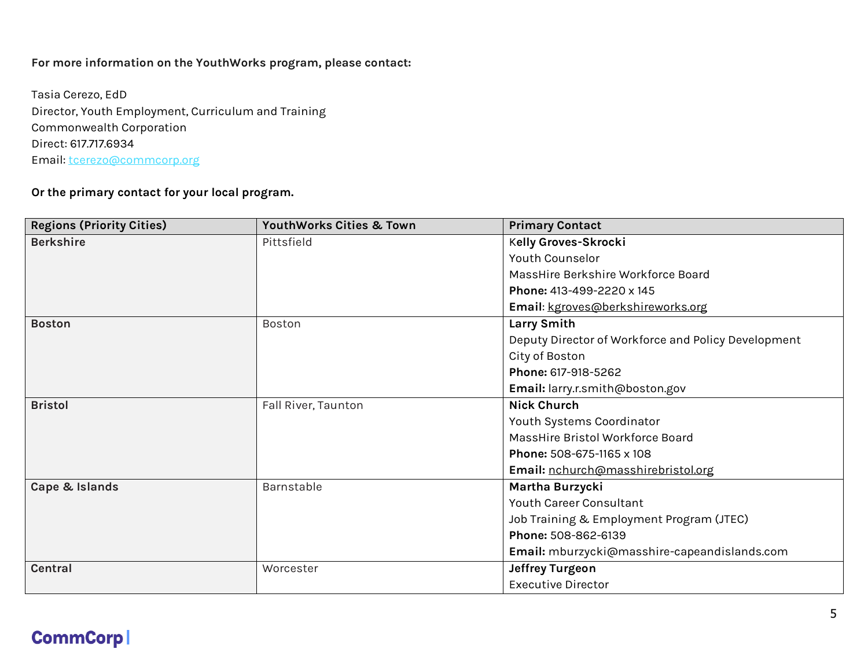## **For more information on the YouthWorks program, please contact:**

Tasia Cerezo, EdD Director, Youth Employment, Curriculum and Training Commonwealth Corporation Direct: 617.717.6934 Email: [tcerezo@commcorp.org](mailto:tcerezo@commcorp.org)

### **Or the primary contact for your local program.**

| <b>Regions (Priority Cities)</b> | YouthWorks Cities & Town | <b>Primary Contact</b>                              |
|----------------------------------|--------------------------|-----------------------------------------------------|
| <b>Berkshire</b>                 | Pittsfield               | Kelly Groves-Skrocki                                |
|                                  |                          | Youth Counselor                                     |
|                                  |                          | MassHire Berkshire Workforce Board                  |
|                                  |                          | Phone: 413-499-2220 x 145                           |
|                                  |                          | Email: kgroves@berkshireworks.org                   |
| <b>Boston</b>                    | Boston                   | Larry Smith                                         |
|                                  |                          | Deputy Director of Workforce and Policy Development |
|                                  |                          | City of Boston                                      |
|                                  |                          | Phone: 617-918-5262                                 |
|                                  |                          | Email: larry.r.smith@boston.gov                     |
| <b>Bristol</b>                   | Fall River, Taunton      | <b>Nick Church</b>                                  |
|                                  |                          | Youth Systems Coordinator                           |
|                                  |                          | MassHire Bristol Workforce Board                    |
|                                  |                          | Phone: 508-675-1165 x 108                           |
|                                  |                          | Email: nchurch@masshirebristol.org                  |
| Cape & Islands                   | Barnstable               | Martha Burzycki                                     |
|                                  |                          | Youth Career Consultant                             |
|                                  |                          | Job Training & Employment Program (JTEC)            |
|                                  |                          | Phone: 508-862-6139                                 |
|                                  |                          | Email: mburzycki@masshire-capeandislands.com        |
| <b>Central</b>                   | Worcester                | Jeffrey Turgeon                                     |
|                                  |                          | <b>Executive Director</b>                           |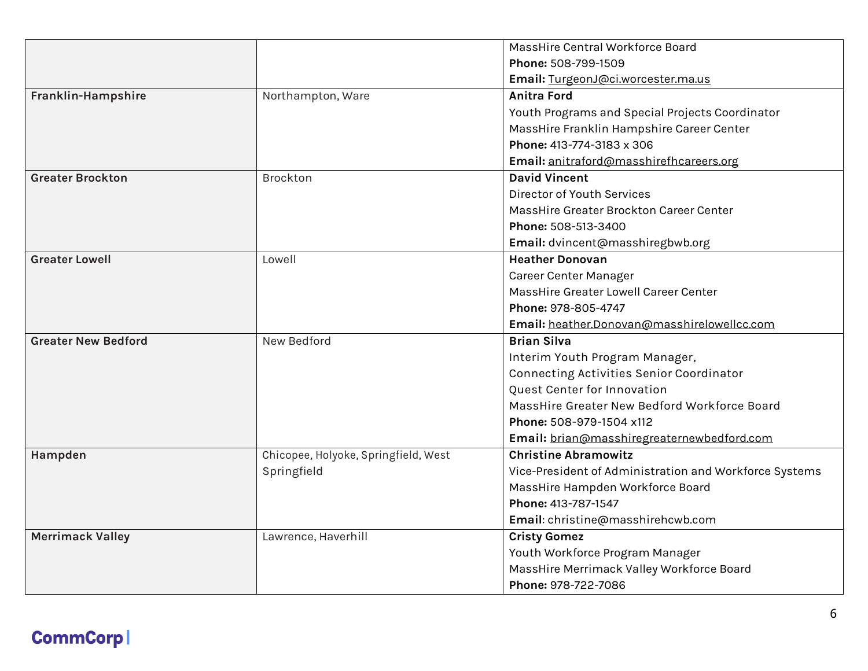|                            |                                      | MassHire Central Workforce Board                       |
|----------------------------|--------------------------------------|--------------------------------------------------------|
|                            |                                      | Phone: 508-799-1509                                    |
|                            |                                      | Email: TurgeonJ@ci.worcester.ma.us                     |
| Franklin-Hampshire         | Northampton, Ware                    | <b>Anitra Ford</b>                                     |
|                            |                                      | Youth Programs and Special Projects Coordinator        |
|                            |                                      | MassHire Franklin Hampshire Career Center              |
|                            |                                      | Phone: 413-774-3183 x 306                              |
|                            |                                      | Email: anitraford@masshirefhcareers.org                |
| <b>Greater Brockton</b>    | <b>Brockton</b>                      | <b>David Vincent</b>                                   |
|                            |                                      | Director of Youth Services                             |
|                            |                                      | MassHire Greater Brockton Career Center                |
|                            |                                      | Phone: 508-513-3400                                    |
|                            |                                      | Email: dvincent@masshiregbwb.org                       |
| <b>Greater Lowell</b>      | Lowell                               | <b>Heather Donovan</b>                                 |
|                            |                                      | Career Center Manager                                  |
|                            |                                      | MassHire Greater Lowell Career Center                  |
|                            |                                      | Phone: 978-805-4747                                    |
|                            |                                      | Email: heather.Donovan@masshirelowellcc.com            |
| <b>Greater New Bedford</b> | New Bedford                          | <b>Brian Silva</b>                                     |
|                            |                                      | Interim Youth Program Manager,                         |
|                            |                                      | Connecting Activities Senior Coordinator               |
|                            |                                      | Quest Center for Innovation                            |
|                            |                                      | MassHire Greater New Bedford Workforce Board           |
|                            |                                      | Phone: 508-979-1504 x112                               |
|                            |                                      | Email: brian@masshiregreaternewbedford.com             |
| Hampden                    | Chicopee, Holyoke, Springfield, West | <b>Christine Abramowitz</b>                            |
|                            | Springfield                          | Vice-President of Administration and Workforce Systems |
|                            |                                      | MassHire Hampden Workforce Board                       |
|                            |                                      | Phone: 413-787-1547                                    |
|                            |                                      | Email: christine@masshirehcwb.com                      |
| <b>Merrimack Valley</b>    | Lawrence, Haverhill                  | <b>Cristy Gomez</b>                                    |
|                            |                                      | Youth Workforce Program Manager                        |
|                            |                                      | MassHire Merrimack Valley Workforce Board              |
|                            |                                      | Phone: 978-722-7086                                    |